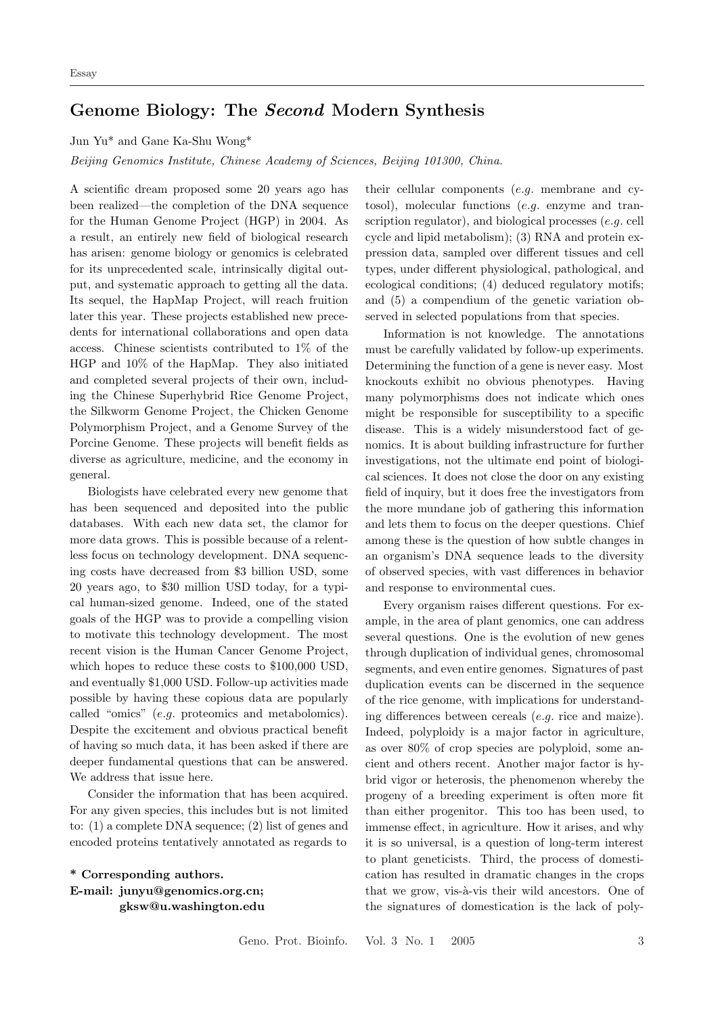## Genome Biology: The Second Modern Synthesis

Jun Yu\* and Gane Ka-Shu Wong\*

Beijing Genomics Institute, Chinese Academy of Sciences, Beijing 101300, China.

A scientific dream proposed some 20 years ago has been realized—the completion of the DNA sequence for the Human Genome Project (HGP) in 2004. As a result, an entirely new field of biological research has arisen: genome biology or genomics is celebrated for its unprecedented scale, intrinsically digital output, and systematic approach to getting all the data. Its sequel, the HapMap Project, will reach fruition later this year. These projects established new precedents for international collaborations and open data access. Chinese scientists contributed to 1% of the HGP and 10% of the HapMap. They also initiated and completed several projects of their own, including the Chinese Superhybrid Rice Genome Project, the Silkworm Genome Project, the Chicken Genome Polymorphism Project, and a Genome Survey of the Porcine Genome. These projects will benefit fields as diverse as agriculture, medicine, and the economy in general.

Biologists have celebrated every new genome that has been sequenced and deposited into the public databases. With each new data set, the clamor for more data grows. This is possible because of a relentless focus on technology development. DNA sequencing costs have decreased from \$3 billion USD, some 20 years ago, to \$30 million USD today, for a typical human-sized genome. Indeed, one of the stated goals of the HGP was to provide a compelling vision to motivate this technology development. The most recent vision is the Human Cancer Genome Project, which hopes to reduce these costs to \$100,000 USD, and eventually \$1,000 USD. Follow-up activities made possible by having these copious data are popularly called "omics" (e.g. proteomics and metabolomics). Despite the excitement and obvious practical benefit of having so much data, it has been asked if there are deeper fundamental questions that can be answered. We address that issue here.

Consider the information that has been acquired. For any given species, this includes but is not limited to: (1) a complete DNA sequence; (2) list of genes and encoded proteins tentatively annotated as regards to

\* Corresponding authors. E-mail: junyu@genomics.org.cn; gksw@u.washington.edu their cellular components (e.g. membrane and cytosol), molecular functions (e.g. enzyme and transcription regulator), and biological processes (e.g. cell cycle and lipid metabolism); (3) RNA and protein expression data, sampled over different tissues and cell types, under different physiological, pathological, and ecological conditions; (4) deduced regulatory motifs; and (5) a compendium of the genetic variation observed in selected populations from that species.

Information is not knowledge. The annotations must be carefully validated by follow-up experiments. Determining the function of a gene is never easy. Most knockouts exhibit no obvious phenotypes. Having many polymorphisms does not indicate which ones might be responsible for susceptibility to a specific disease. This is a widely misunderstood fact of genomics. It is about building infrastructure for further investigations, not the ultimate end point of biological sciences. It does not close the door on any existing field of inquiry, but it does free the investigators from the more mundane job of gathering this information and lets them to focus on the deeper questions. Chief among these is the question of how subtle changes in an organism's DNA sequence leads to the diversity of observed species, with vast differences in behavior and response to environmental cues.

Every organism raises different questions. For example, in the area of plant genomics, one can address several questions. One is the evolution of new genes through duplication of individual genes, chromosomal segments, and even entire genomes. Signatures of past duplication events can be discerned in the sequence of the rice genome, with implications for understanding differences between cereals (e.g. rice and maize). Indeed, polyploidy is a major factor in agriculture, as over 80% of crop species are polyploid, some ancient and others recent. Another major factor is hybrid vigor or heterosis, the phenomenon whereby the progeny of a breeding experiment is often more fit than either progenitor. This too has been used, to immense effect, in agriculture. How it arises, and why it is so universal, is a question of long-term interest to plant geneticists. Third, the process of domestication has resulted in dramatic changes in the crops that we grow, vis-à-vis their wild ancestors. One of the signatures of domestication is the lack of poly